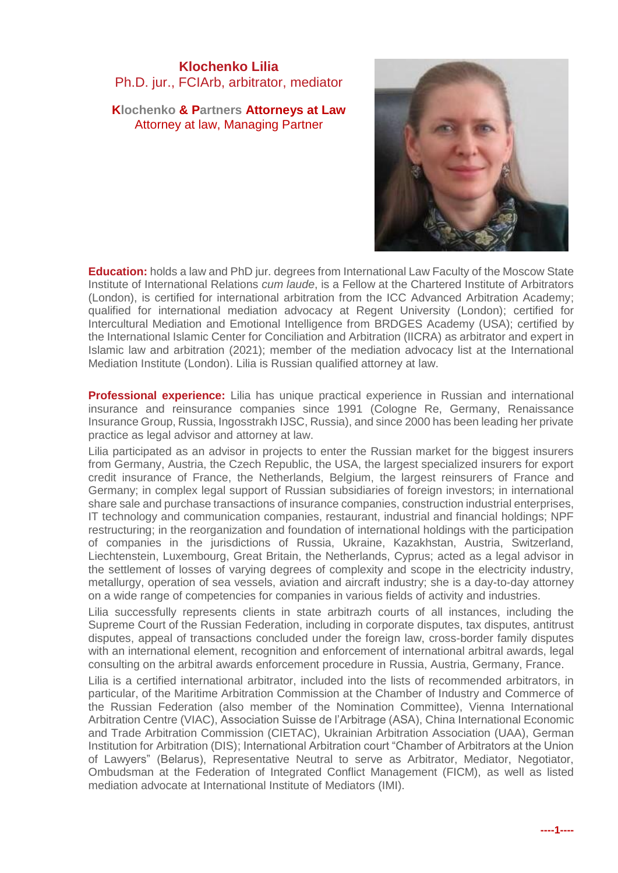## **Klochenko Lilia** Ph.D. jur., FCIArb, arbitrator, mediator

**Klochenko & Partners Attorneys at Law** Attorney at law, Managing Partner



**Education:** holds a law and PhD jur. degrees from International Law Faculty of the Moscow State Institute of International Relations *cum laude*, is a Fellow at the Chartered Institute of Arbitrators (London), is certified for international arbitration from the ICC Advanced Arbitration Academy; qualified for international mediation advocacy at Regent University (London); certified for Intercultural Mediation and Emotional Intelligence from BRDGES Academy (USA); certified by the International Islamic Center for Conciliation and Arbitration (IICRA) as arbitrator and expert in Islamic law and arbitration (2021); member of the mediation advocacy list at the International Mediation Institute (London). Lilia is Russian qualified attorney at law.

**Professional experience:** Lilia has unique practical experience in Russian and international insurance and reinsurance companies since 1991 (Cologne Re, Germany, Renaissance Insurance Group, Russia, Ingosstrakh IJSC, Russia), and since 2000 has been leading her private practice as legal advisor and attorney at law.

Lilia participated as an advisor in projects to enter the Russian market for the biggest insurers from Germany, Austria, the Czech Republic, the USA, the largest specialized insurers for export credit insurance of France, the Netherlands, Belgium, the largest reinsurers of France and Germany; in complex legal support of Russian subsidiaries of foreign investors; in international share sale and purchase transactions of insurance companies, construction industrial enterprises, IT technology and communication companies, restaurant, industrial and financial holdings; NPF restructuring; in the reorganization and foundation of international holdings with the participation of companies in the jurisdictions of Russia, Ukraine, Kazakhstan, Austria, Switzerland, Liechtenstein, Luxembourg, Great Britain, the Netherlands, Cyprus; acted as a legal advisor in the settlement of losses of varying degrees of complexity and scope in the electricity industry, metallurgy, operation of sea vessels, aviation and aircraft industry; she is a day-to-day attorney on a wide range of competencies for companies in various fields of activity and industries.

Lilia successfully represents clients in state arbitrazh courts of all instances, including the Supreme Court of the Russian Federation, including in corporate disputes, tax disputes, antitrust disputes, appeal of transactions concluded under the foreign law, cross-border family disputes with an international element, recognition and enforcement of international arbitral awards, legal consulting on the arbitral awards enforcement procedure in Russia, Austria, Germany, France.

Lilia is a certified international arbitrator, included into the lists of recommended arbitrators, in particular, of the Maritime Arbitration Commission at the Chamber of Industry and Commerce of the Russian Federation (also member of the Nomination Committee), Vienna International Arbitration Centre (VIAC), Association Suisse de l'Arbitrage (ASA), China International Economic and Trade Arbitration Commission (CIETAC), Ukrainian Arbitration Association (UAA), German Institution for Arbitration (DIS); International Arbitration court "Chamber of Arbitrators at the Union of Lawyers" (Belarus), Representative Neutral to serve as Arbitrator, Mediator, Negotiator, Ombudsman at the Federation of Integrated Conflict Management (FICM), as well as listed mediation advocate at International Institute of Mediators (IMI).